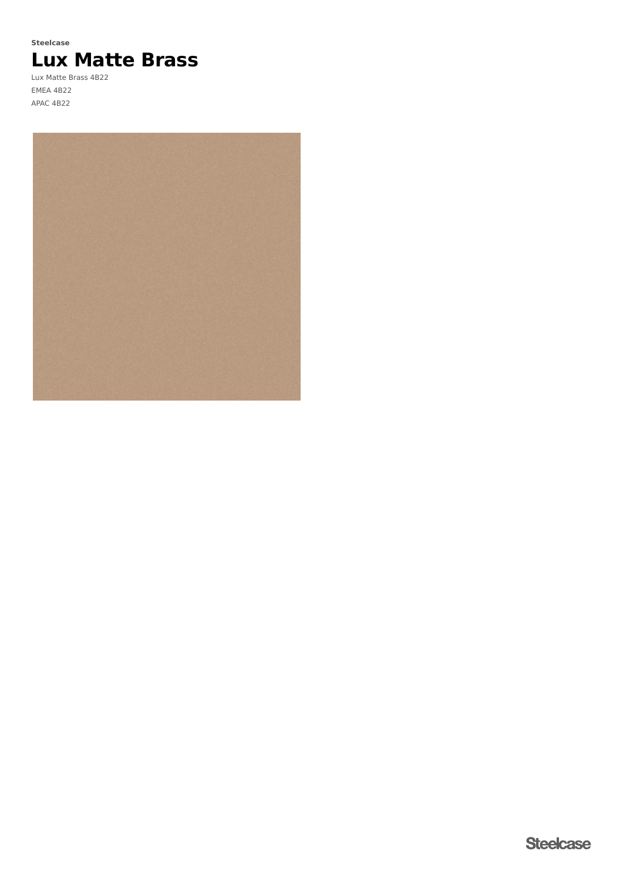# **Lux Matte Brass Steelcase**

Lux Matte Brass 4B22 EMEA 4B22 APAC 4B22

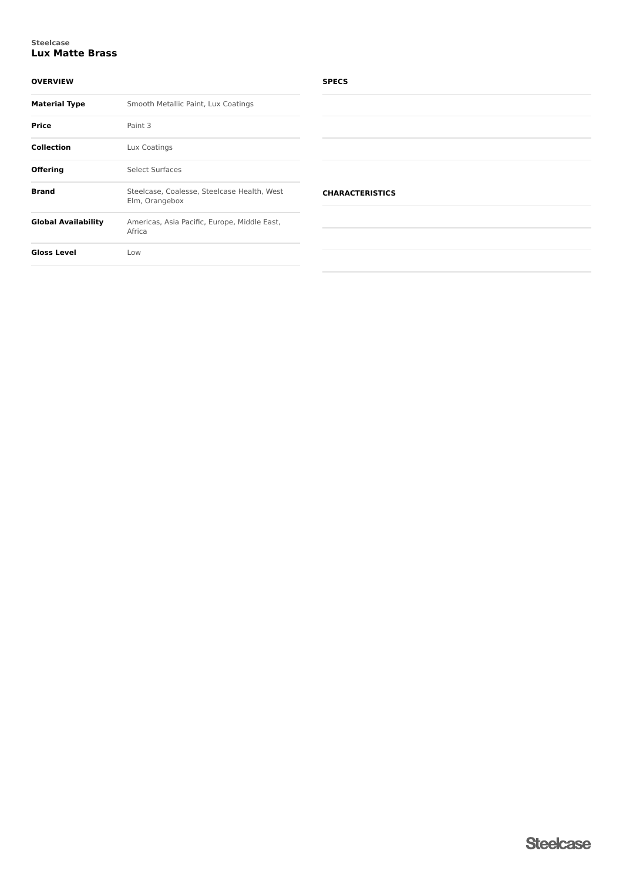## **Lux Matte Brass Steelcase**

## **OVERVIEW**

| <b>Material Type</b>       | Smooth Metallic Paint, Lux Coatings                           |
|----------------------------|---------------------------------------------------------------|
| <b>Price</b>               | Paint 3                                                       |
| <b>Collection</b>          | Lux Coatings                                                  |
| <b>Offering</b>            | Select Surfaces                                               |
| <b>Brand</b>               | Steelcase, Coalesse, Steelcase Health, West<br>Elm, Orangebox |
| <b>Global Availability</b> | Americas, Asia Pacific, Europe, Middle East,<br>Africa        |
| <b>Gloss Level</b>         | Low                                                           |

## **SPECS**

| <b>CHARACTERISTICS</b> |  |  |  |
|------------------------|--|--|--|
|                        |  |  |  |